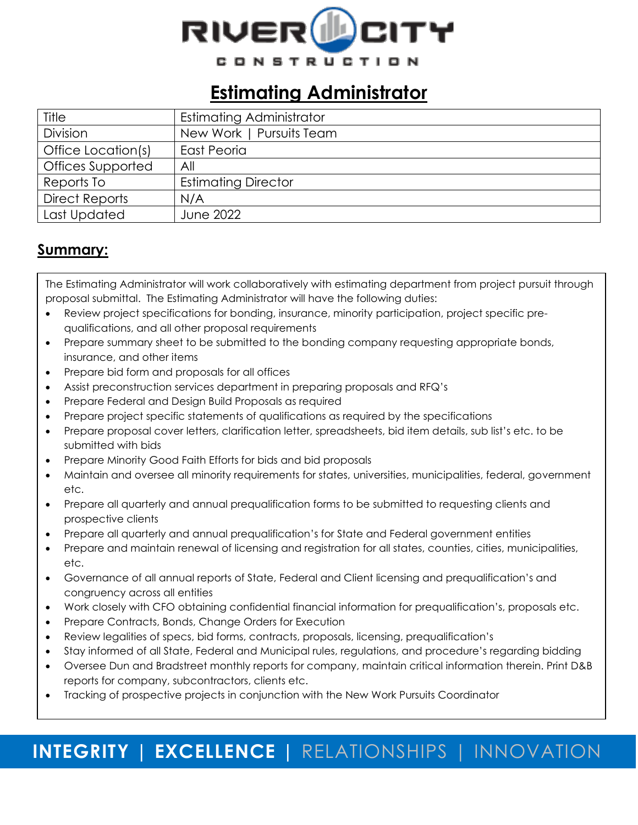

### **Estimating Administrator**

| Title                 | <b>Estimating Administrator</b> |
|-----------------------|---------------------------------|
| Division              | New Work   Pursuits Team        |
| Office Location(s)    | <b>East Peoria</b>              |
| Offices Supported     | All                             |
| Reports To            | <b>Estimating Director</b>      |
| <b>Direct Reports</b> | N/A                             |
| Last Updated          | <b>June 2022</b>                |

### **Summary:**

The Estimating Administrator will work collaboratively with estimating department from project pursuit through proposal submittal. The Estimating Administrator will have the following duties:

- Review project specifications for bonding, insurance, minority participation, project specific prequalifications, and all other proposal requirements
- Prepare summary sheet to be submitted to the bonding company requesting appropriate bonds, insurance, and other items
- Prepare bid form and proposals for all offices
- Assist preconstruction services department in preparing proposals and RFQ's
- Prepare Federal and Design Build Proposals as required
- Prepare project specific statements of qualifications as required by the specifications
- Prepare proposal cover letters, clarification letter, spreadsheets, bid item details, sub list's etc. to be submitted with bids
- Prepare Minority Good Faith Efforts for bids and bid proposals
- Maintain and oversee all minority requirements for states, universities, municipalities, federal, government etc.
- Prepare all quarterly and annual prequalification forms to be submitted to requesting clients and prospective clients
- Prepare all quarterly and annual prequalification's for State and Federal government entities
- Prepare and maintain renewal of licensing and registration for all states, counties, cities, municipalities, etc.
- Governance of all annual reports of State, Federal and Client licensing and prequalification's and congruency across all entities
- Work closely with CFO obtaining confidential financial information for prequalification's, proposals etc.
- Prepare Contracts, Bonds, Change Orders for Execution
- Review legalities of specs, bid forms, contracts, proposals, licensing, prequalification's
- Stay informed of all State, Federal and Municipal rules, regulations, and procedure's regarding bidding
- Oversee Dun and Bradstreet monthly reports for company, maintain critical information therein. Print D&B reports for company, subcontractors, clients etc.
- Tracking of prospective projects in conjunction with the New Work Pursuits Coordinator

# **INTEGRITY | EXCELLENCE |** RELATIONSHIPS | INNOVATION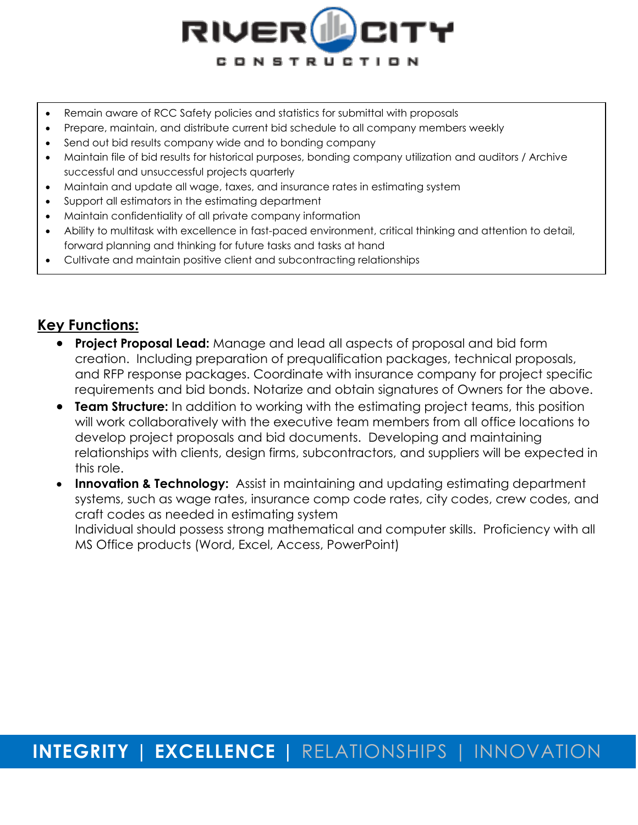

- Remain aware of RCC Safety policies and statistics for submittal with proposals
- Prepare, maintain, and distribute current bid schedule to all company members weekly
- Send out bid results company wide and to bonding company
- Maintain file of bid results for historical purposes, bonding company utilization and auditors / Archive successful and unsuccessful projects quarterly
- Maintain and update all wage, taxes, and insurance rates in estimating system
- Support all estimators in the estimating department
- Maintain confidentiality of all private company information
- Ability to multitask with excellence in fast-paced environment, critical thinking and attention to detail, forward planning and thinking for future tasks and tasks at hand
- Cultivate and maintain positive client and subcontracting relationships

### **Key Functions:**

- **Project Proposal Lead:** Manage and lead all aspects of proposal and bid form creation. Including preparation of prequalification packages, technical proposals, and RFP response packages. Coordinate with insurance company for project specific requirements and bid bonds. Notarize and obtain signatures of Owners for the above.
- **Team Structure:** In addition to working with the estimating project teams, this position will work collaboratively with the executive team members from all office locations to develop project proposals and bid documents. Developing and maintaining relationships with clients, design firms, subcontractors, and suppliers will be expected in this role.
- **Innovation & Technology:** Assist in maintaining and updating estimating department systems, such as wage rates, insurance comp code rates, city codes, crew codes, and craft codes as needed in estimating system Individual should possess strong mathematical and computer skills. Proficiency with all MS Office products (Word, Excel, Access, PowerPoint)

# **INTEGRITY | EXCELLENCE |** RELATIONSHIPS | INNOVATION